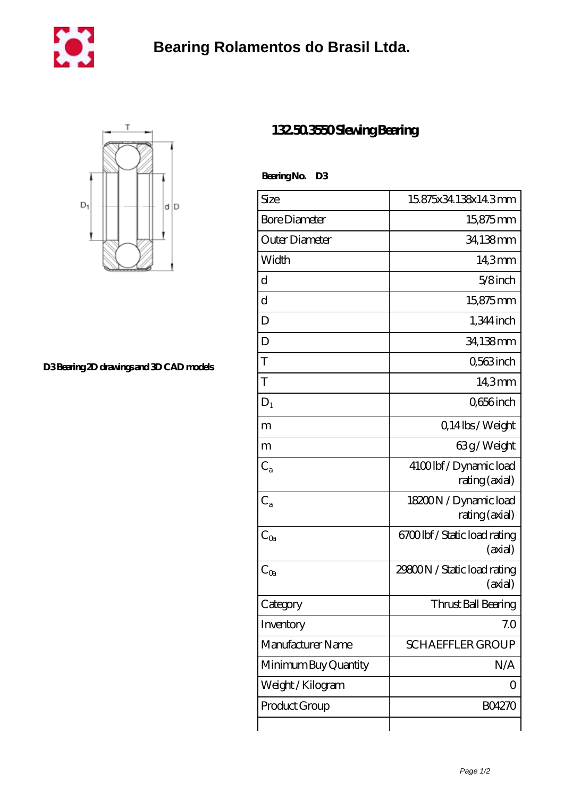



**[D3 Bearing 2D drawings and 3D CAD models](https://cityofwaverly.org/pic-461141.html)**

## **[132.50.3550 Slewing Bearing](https://cityofwaverly.org/ar-461141-132-50-3550-slewing-bearing.html)**

 **Bearing No. D3**

| Size                    | 15875x34138x143mm                        |
|-------------------------|------------------------------------------|
| <b>Bore Diameter</b>    | 15,875mm                                 |
| Outer Diameter          | 34,138mm                                 |
| Width                   | 14,3mm                                   |
| d                       | $5/8$ inch                               |
| $\mathbf d$             | 15875mm                                  |
| D                       | $1,344$ inch                             |
| D                       | 34,138mm                                 |
| T                       | Q563inch                                 |
| T                       | 143mm                                    |
| $D_1$                   | Q656 inch                                |
| m                       | Q14lbs/Weight                            |
| m                       | 63g/Weight                               |
| $\mathrm{C}_\mathrm{a}$ | 4100lbf/Dynamic load<br>rating (axial)   |
| $C_{a}$                 | 18200N / Dynamic load<br>rating (axial)  |
| $C_{\text{Qa}}$         | 6700 lbf / Static load rating<br>(axial) |
| $C_{0a}$                | 29800N / Static load rating<br>(axial)   |
| Category                | Thrust Ball Bearing                      |
| Inventory               | 7.0                                      |
| Manufacturer Name       | <b>SCHAEFFLER GROUP</b>                  |
| Minimum Buy Quantity    | N/A                                      |
| Weight/Kilogram         | 0                                        |
| Product Group           | <b>BO4270</b>                            |
|                         |                                          |